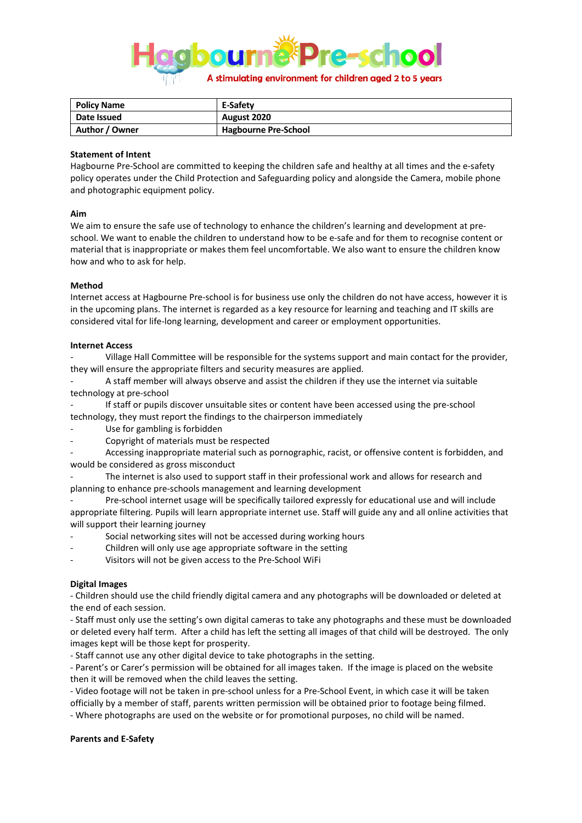

| <b>Policy Name</b> | E-Safety                    |
|--------------------|-----------------------------|
| Date Issued        | August 2020                 |
| Author / Owner     | <b>Hagbourne Pre-School</b> |

### **Statement of Intent**

Hagbourne Pre-School are committed to keeping the children safe and healthy at all times and the e-safety policy operates under the Child Protection and Safeguarding policy and alongside the Camera, mobile phone and photographic equipment policy.

### **Aim**

We aim to ensure the safe use of technology to enhance the children's learning and development at preschool. We want to enable the children to understand how to be e-safe and for them to recognise content or material that is inappropriate or makes them feel uncomfortable. We also want to ensure the children know how and who to ask for help.

### **Method**

Internet access at Hagbourne Pre-school is for business use only the children do not have access, however it is in the upcoming plans. The internet is regarded as a key resource for learning and teaching and IT skills are considered vital for life-long learning, development and career or employment opportunities.

### **Internet Access**

- Village Hall Committee will be responsible for the systems support and main contact for the provider, they will ensure the appropriate filters and security measures are applied.

- A staff member will always observe and assist the children if they use the internet via suitable technology at pre-school

If staff or pupils discover unsuitable sites or content have been accessed using the pre-school technology, they must report the findings to the chairperson immediately

- Use for gambling is forbidden
- Copyright of materials must be respected

- Accessing inappropriate material such as pornographic, racist, or offensive content is forbidden, and would be considered as gross misconduct

The internet is also used to support staff in their professional work and allows for research and planning to enhance pre-schools management and learning development

Pre-school internet usage will be specifically tailored expressly for educational use and will include appropriate filtering. Pupils will learn appropriate internet use. Staff will guide any and all online activities that will support their learning journey

- Social networking sites will not be accessed during working hours
- Children will only use age appropriate software in the setting
- Visitors will not be given access to the Pre-School WiFi

# **Digital Images**

- Children should use the child friendly digital camera and any photographs will be downloaded or deleted at the end of each session.

- Staff must only use the setting's own digital cameras to take any photographs and these must be downloaded or deleted every half term. After a child has left the setting all images of that child will be destroyed. The only images kept will be those kept for prosperity.

- Staff cannot use any other digital device to take photographs in the setting.

- Parent's or Carer's permission will be obtained for all images taken. If the image is placed on the website then it will be removed when the child leaves the setting.

- Video footage will not be taken in pre-school unless for a Pre-School Event, in which case it will be taken officially by a member of staff, parents written permission will be obtained prior to footage being filmed.

- Where photographs are used on the website or for promotional purposes, no child will be named.

# **Parents and E-Safety**